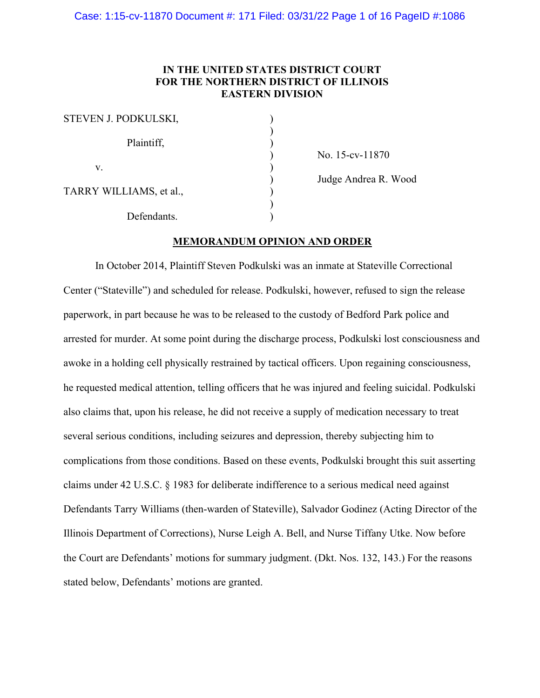# **IN THE UNITED STATES DISTRICT COURT FOR THE NORTHERN DISTRICT OF ILLINOIS EASTERN DIVISION**

| STEVEN J. PODKULSKI,    |  |
|-------------------------|--|
| Plaintiff,              |  |
| V.                      |  |
| TARRY WILLIAMS, et al., |  |
| Defendants.             |  |

) No. 15-cv-11870

) Judge Andrea R. Wood

# **MEMORANDUM OPINION AND ORDER**

In October 2014, Plaintiff Steven Podkulski was an inmate at Stateville Correctional Center ("Stateville") and scheduled for release. Podkulski, however, refused to sign the release paperwork, in part because he was to be released to the custody of Bedford Park police and arrested for murder. At some point during the discharge process, Podkulski lost consciousness and awoke in a holding cell physically restrained by tactical officers. Upon regaining consciousness, he requested medical attention, telling officers that he was injured and feeling suicidal. Podkulski also claims that, upon his release, he did not receive a supply of medication necessary to treat several serious conditions, including seizures and depression, thereby subjecting him to complications from those conditions. Based on these events, Podkulski brought this suit asserting claims under 42 U.S.C. § 1983 for deliberate indifference to a serious medical need against Defendants Tarry Williams (then-warden of Stateville), Salvador Godinez (Acting Director of the Illinois Department of Corrections), Nurse Leigh A. Bell, and Nurse Tiffany Utke. Now before the Court are Defendants' motions for summary judgment. (Dkt. Nos. 132, 143.) For the reasons stated below, Defendants' motions are granted.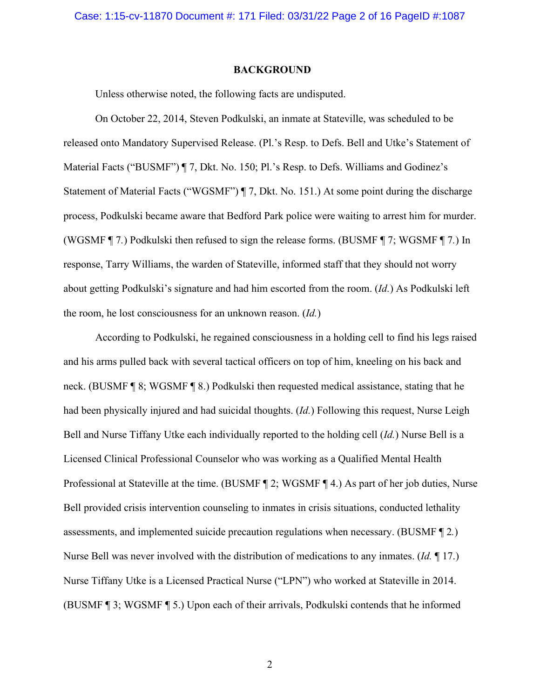#### **BACKGROUND**

Unless otherwise noted, the following facts are undisputed.

On October 22, 2014, Steven Podkulski, an inmate at Stateville, was scheduled to be released onto Mandatory Supervised Release. (Pl.'s Resp. to Defs. Bell and Utke's Statement of Material Facts ("BUSMF") ¶ 7, Dkt. No. 150; Pl.'s Resp. to Defs. Williams and Godinez's Statement of Material Facts ("WGSMF") ¶ 7, Dkt. No. 151.) At some point during the discharge process, Podkulski became aware that Bedford Park police were waiting to arrest him for murder. (WGSMF ¶ 7*.*) Podkulski then refused to sign the release forms. (BUSMF ¶ 7; WGSMF ¶ 7*.*) In response, Tarry Williams, the warden of Stateville, informed staff that they should not worry about getting Podkulski's signature and had him escorted from the room. (*Id.*) As Podkulski left the room, he lost consciousness for an unknown reason. (*Id.*)

According to Podkulski, he regained consciousness in a holding cell to find his legs raised and his arms pulled back with several tactical officers on top of him, kneeling on his back and neck. (BUSMF ¶ 8; WGSMF ¶ 8.) Podkulski then requested medical assistance, stating that he had been physically injured and had suicidal thoughts. (*Id.*) Following this request, Nurse Leigh Bell and Nurse Tiffany Utke each individually reported to the holding cell (*Id.*) Nurse Bell is a Licensed Clinical Professional Counselor who was working as a Qualified Mental Health Professional at Stateville at the time. (BUSMF ¶ 2; WGSMF ¶ 4.) As part of her job duties, Nurse Bell provided crisis intervention counseling to inmates in crisis situations, conducted lethality assessments, and implemented suicide precaution regulations when necessary. (BUSMF ¶ 2*.*) Nurse Bell was never involved with the distribution of medications to any inmates. (*Id.* ¶ 17.) Nurse Tiffany Utke is a Licensed Practical Nurse ("LPN") who worked at Stateville in 2014. (BUSMF ¶ 3; WGSMF ¶ 5.) Upon each of their arrivals, Podkulski contends that he informed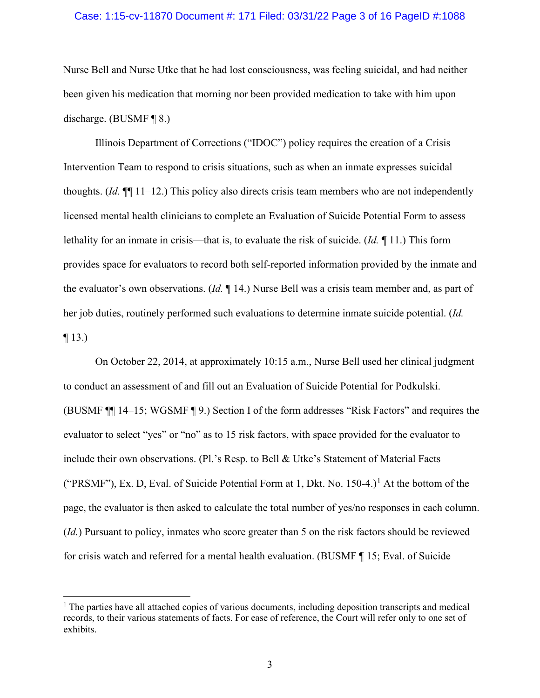#### Case: 1:15-cv-11870 Document #: 171 Filed: 03/31/22 Page 3 of 16 PageID #:1088

Nurse Bell and Nurse Utke that he had lost consciousness, was feeling suicidal, and had neither been given his medication that morning nor been provided medication to take with him upon discharge. (BUSMF ¶ 8.)

Illinois Department of Corrections ("IDOC") policy requires the creation of a Crisis Intervention Team to respond to crisis situations, such as when an inmate expresses suicidal thoughts. (*Id.* ¶¶ 11–12.) This policy also directs crisis team members who are not independently licensed mental health clinicians to complete an Evaluation of Suicide Potential Form to assess lethality for an inmate in crisis—that is, to evaluate the risk of suicide. (*Id.* ¶ 11.) This form provides space for evaluators to record both self-reported information provided by the inmate and the evaluator's own observations. (*Id.* ¶ 14.) Nurse Bell was a crisis team member and, as part of her job duties, routinely performed such evaluations to determine inmate suicide potential. (*Id.*  $\P$  13.)

On October 22, 2014, at approximately 10:15 a.m., Nurse Bell used her clinical judgment to conduct an assessment of and fill out an Evaluation of Suicide Potential for Podkulski. (BUSMF ¶¶ 14–15; WGSMF ¶ 9.) Section I of the form addresses "Risk Factors" and requires the evaluator to select "yes" or "no" as to 15 risk factors, with space provided for the evaluator to include their own observations. (Pl.'s Resp. to Bell & Utke's Statement of Material Facts ("PRSMF"), Ex. D, Eval. of Suicide Potential Form at [1](#page-2-0), Dkt. No.  $150-4$ .)<sup>1</sup> At the bottom of the page, the evaluator is then asked to calculate the total number of yes/no responses in each column. (*Id.*) Pursuant to policy, inmates who score greater than 5 on the risk factors should be reviewed for crisis watch and referred for a mental health evaluation. (BUSMF ¶ 15; Eval. of Suicide

<span id="page-2-0"></span> $1$ . The parties have all attached copies of various documents, including deposition transcripts and medical records, to their various statements of facts. For ease of reference, the Court will refer only to one set of exhibits.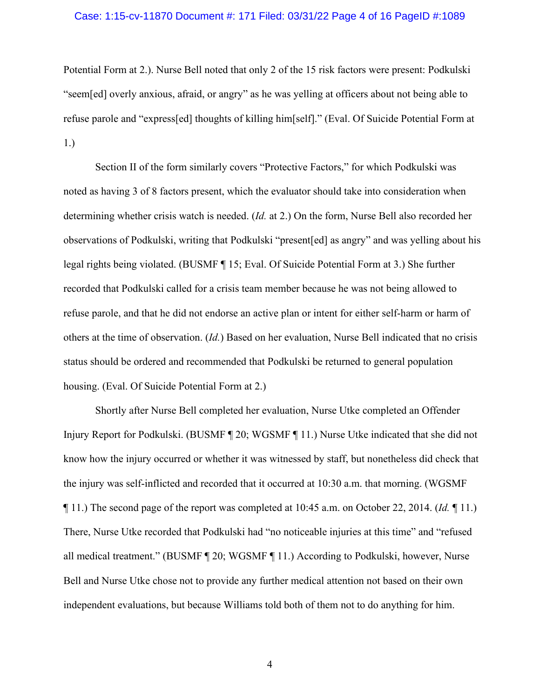#### Case: 1:15-cv-11870 Document #: 171 Filed: 03/31/22 Page 4 of 16 PageID #:1089

Potential Form at 2.). Nurse Bell noted that only 2 of the 15 risk factors were present: Podkulski "seem[ed] overly anxious, afraid, or angry" as he was yelling at officers about not being able to refuse parole and "express[ed] thoughts of killing him[self]." (Eval. Of Suicide Potential Form at 1.)

Section II of the form similarly covers "Protective Factors," for which Podkulski was noted as having 3 of 8 factors present, which the evaluator should take into consideration when determining whether crisis watch is needed. (*Id.* at 2.) On the form, Nurse Bell also recorded her observations of Podkulski, writing that Podkulski "present[ed] as angry" and was yelling about his legal rights being violated. (BUSMF ¶ 15; Eval. Of Suicide Potential Form at 3.) She further recorded that Podkulski called for a crisis team member because he was not being allowed to refuse parole, and that he did not endorse an active plan or intent for either self-harm or harm of others at the time of observation. (*Id.*) Based on her evaluation, Nurse Bell indicated that no crisis status should be ordered and recommended that Podkulski be returned to general population housing. (Eval. Of Suicide Potential Form at 2.)

Shortly after Nurse Bell completed her evaluation, Nurse Utke completed an Offender Injury Report for Podkulski. (BUSMF ¶ 20; WGSMF ¶ 11.) Nurse Utke indicated that she did not know how the injury occurred or whether it was witnessed by staff, but nonetheless did check that the injury was self-inflicted and recorded that it occurred at 10:30 a.m. that morning. (WGSMF ¶ 11.) The second page of the report was completed at 10:45 a.m. on October 22, 2014. (*Id.* ¶ 11.) There, Nurse Utke recorded that Podkulski had "no noticeable injuries at this time" and "refused all medical treatment." (BUSMF ¶ 20; WGSMF ¶ 11.) According to Podkulski, however, Nurse Bell and Nurse Utke chose not to provide any further medical attention not based on their own independent evaluations, but because Williams told both of them not to do anything for him.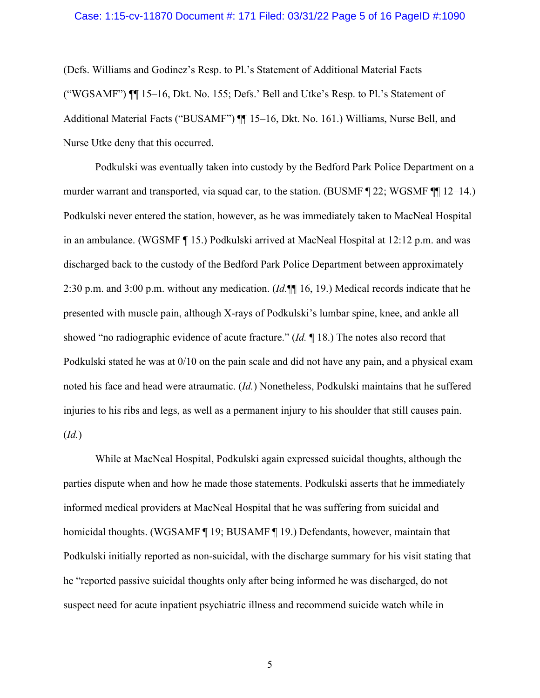#### Case: 1:15-cv-11870 Document #: 171 Filed: 03/31/22 Page 5 of 16 PageID #:1090

(Defs. Williams and Godinez's Resp. to Pl.'s Statement of Additional Material Facts ("WGSAMF") ¶¶ 15–16, Dkt. No. 155; Defs.' Bell and Utke's Resp. to Pl.'s Statement of Additional Material Facts ("BUSAMF") ¶ 15–16, Dkt. No. 161.) Williams, Nurse Bell, and Nurse Utke deny that this occurred.

Podkulski was eventually taken into custody by the Bedford Park Police Department on a murder warrant and transported, via squad car, to the station. (BUSMF ¶ 22; WGSMF ¶¶ 12–14.) Podkulski never entered the station, however, as he was immediately taken to MacNeal Hospital in an ambulance. (WGSMF ¶ 15.) Podkulski arrived at MacNeal Hospital at 12:12 p.m. and was discharged back to the custody of the Bedford Park Police Department between approximately 2:30 p.m. and 3:00 p.m. without any medication. (*Id.*¶¶ 16, 19.) Medical records indicate that he presented with muscle pain, although X-rays of Podkulski's lumbar spine, knee, and ankle all showed "no radiographic evidence of acute fracture." (*Id.* ¶ 18.) The notes also record that Podkulski stated he was at 0/10 on the pain scale and did not have any pain, and a physical exam noted his face and head were atraumatic. (*Id.*) Nonetheless, Podkulski maintains that he suffered injuries to his ribs and legs, as well as a permanent injury to his shoulder that still causes pain. (*Id.*)

While at MacNeal Hospital, Podkulski again expressed suicidal thoughts, although the parties dispute when and how he made those statements. Podkulski asserts that he immediately informed medical providers at MacNeal Hospital that he was suffering from suicidal and homicidal thoughts. (WGSAMF ¶ 19; BUSAMF ¶ 19.) Defendants, however, maintain that Podkulski initially reported as non-suicidal, with the discharge summary for his visit stating that he "reported passive suicidal thoughts only after being informed he was discharged, do not suspect need for acute inpatient psychiatric illness and recommend suicide watch while in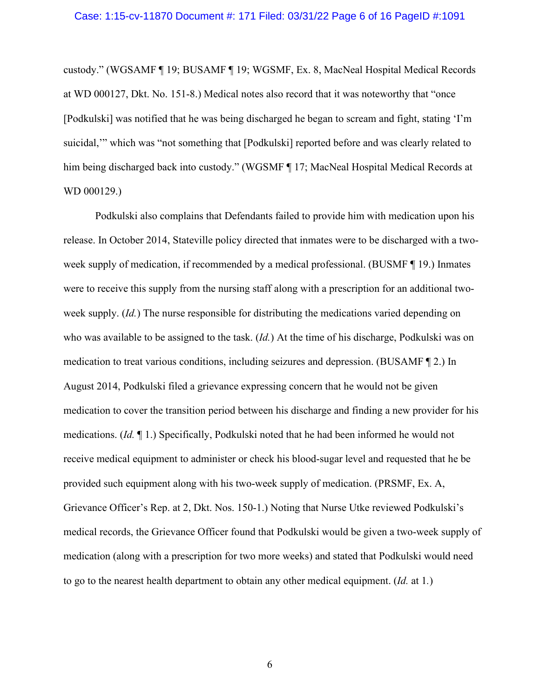#### Case: 1:15-cv-11870 Document #: 171 Filed: 03/31/22 Page 6 of 16 PageID #:1091

custody." (WGSAMF ¶ 19; BUSAMF ¶ 19; WGSMF, Ex. 8, MacNeal Hospital Medical Records at WD 000127, Dkt. No. 151-8.) Medical notes also record that it was noteworthy that "once [Podkulski] was notified that he was being discharged he began to scream and fight, stating 'I'm suicidal,'" which was "not something that [Podkulski] reported before and was clearly related to him being discharged back into custody." (WGSMF ¶ 17; MacNeal Hospital Medical Records at WD 000129.)

Podkulski also complains that Defendants failed to provide him with medication upon his release. In October 2014, Stateville policy directed that inmates were to be discharged with a twoweek supply of medication, if recommended by a medical professional. (BUSMF ¶ 19.) Inmates were to receive this supply from the nursing staff along with a prescription for an additional twoweek supply. (*Id.*) The nurse responsible for distributing the medications varied depending on who was available to be assigned to the task. (*Id.*) At the time of his discharge, Podkulski was on medication to treat various conditions, including seizures and depression. (BUSAMF ¶ 2.) In August 2014, Podkulski filed a grievance expressing concern that he would not be given medication to cover the transition period between his discharge and finding a new provider for his medications. (*Id.* ¶ 1.) Specifically, Podkulski noted that he had been informed he would not receive medical equipment to administer or check his blood-sugar level and requested that he be provided such equipment along with his two-week supply of medication. (PRSMF, Ex. A, Grievance Officer's Rep. at 2, Dkt. Nos. 150-1.) Noting that Nurse Utke reviewed Podkulski's medical records, the Grievance Officer found that Podkulski would be given a two-week supply of medication (along with a prescription for two more weeks) and stated that Podkulski would need to go to the nearest health department to obtain any other medical equipment. (*Id.* at 1*.*)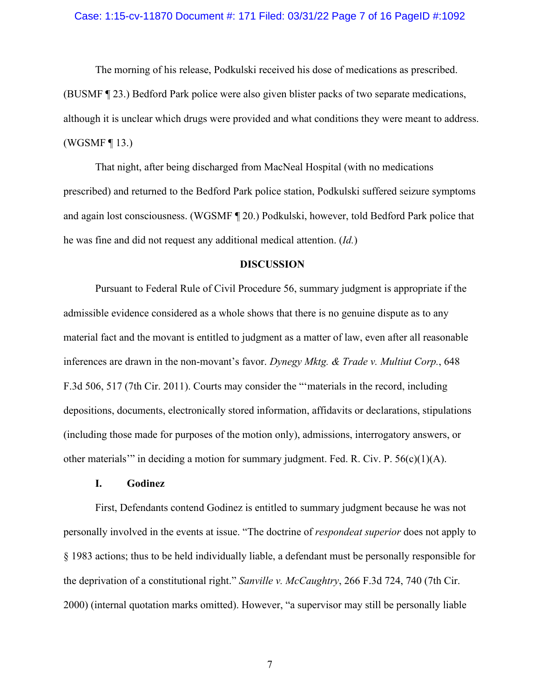#### Case: 1:15-cv-11870 Document #: 171 Filed: 03/31/22 Page 7 of 16 PageID #:1092

The morning of his release, Podkulski received his dose of medications as prescribed. (BUSMF ¶ 23.) Bedford Park police were also given blister packs of two separate medications, although it is unclear which drugs were provided and what conditions they were meant to address. (WGSMF ¶ 13.)

That night, after being discharged from MacNeal Hospital (with no medications prescribed) and returned to the Bedford Park police station, Podkulski suffered seizure symptoms and again lost consciousness. (WGSMF ¶ 20.) Podkulski, however, told Bedford Park police that he was fine and did not request any additional medical attention. (*Id.*)

#### **DISCUSSION**

Pursuant to Federal Rule of Civil Procedure 56, summary judgment is appropriate if the admissible evidence considered as a whole shows that there is no genuine dispute as to any material fact and the movant is entitled to judgment as a matter of law, even after all reasonable inferences are drawn in the non-movant's favor. *Dynegy Mktg. & Trade v. Multiut Corp.*, 648 F.3d 506, 517 (7th Cir. 2011). Courts may consider the "'materials in the record, including depositions, documents, electronically stored information, affidavits or declarations, stipulations (including those made for purposes of the motion only), admissions, interrogatory answers, or other materials'" in deciding a motion for summary judgment. Fed. R. Civ. P.  $56(c)(1)(A)$ .

#### **I. Godinez**

First, Defendants contend Godinez is entitled to summary judgment because he was not personally involved in the events at issue. "The doctrine of *respondeat superior* does not apply to § 1983 actions; thus to be held individually liable, a defendant must be personally responsible for the deprivation of a constitutional right." *Sanville v. McCaughtry*, 266 F.3d 724, 740 (7th Cir. 2000) (internal quotation marks omitted). However, "a supervisor may still be personally liable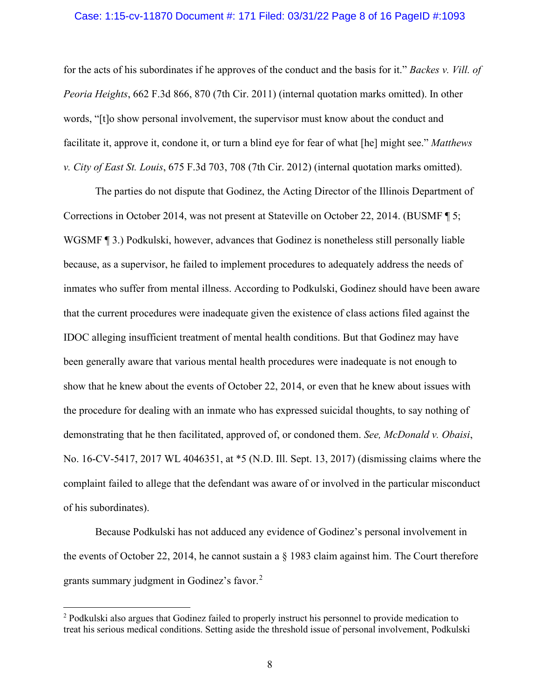#### Case: 1:15-cv-11870 Document #: 171 Filed: 03/31/22 Page 8 of 16 PageID #:1093

for the acts of his subordinates if he approves of the conduct and the basis for it." *Backes v. Vill. of Peoria Heights*, 662 F.3d 866, 870 (7th Cir. 2011) (internal quotation marks omitted). In other words, "[t]o show personal involvement, the supervisor must know about the conduct and facilitate it, approve it, condone it, or turn a blind eye for fear of what [he] might see." *Matthews v. City of East St. Louis*, 675 F.3d 703, 708 (7th Cir. 2012) (internal quotation marks omitted).

The parties do not dispute that Godinez, the Acting Director of the Illinois Department of Corrections in October 2014, was not present at Stateville on October 22, 2014. (BUSMF ¶ 5; WGSMF  $\P$  3.) Podkulski, however, advances that Godinez is nonetheless still personally liable because, as a supervisor, he failed to implement procedures to adequately address the needs of inmates who suffer from mental illness. According to Podkulski, Godinez should have been aware that the current procedures were inadequate given the existence of class actions filed against the IDOC alleging insufficient treatment of mental health conditions. But that Godinez may have been generally aware that various mental health procedures were inadequate is not enough to show that he knew about the events of October 22, 2014, or even that he knew about issues with the procedure for dealing with an inmate who has expressed suicidal thoughts, to say nothing of demonstrating that he then facilitated, approved of, or condoned them. *See, McDonald v. Obaisi*, No. 16-CV-5417, 2017 WL 4046351, at \*5 (N.D. Ill. Sept. 13, 2017) (dismissing claims where the complaint failed to allege that the defendant was aware of or involved in the particular misconduct of his subordinates).

Because Podkulski has not adduced any evidence of Godinez's personal involvement in the events of October 22, 2014, he cannot sustain a § 1983 claim against him. The Court therefore grants summary judgment in Godinez's favor.[2](#page-7-0)

<span id="page-7-0"></span><sup>2</sup> Podkulski also argues that Godinez failed to properly instruct his personnel to provide medication to treat his serious medical conditions. Setting aside the threshold issue of personal involvement, Podkulski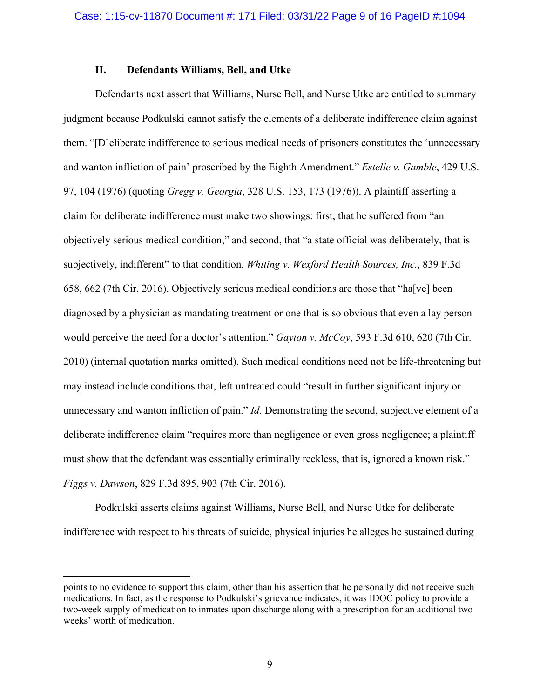# **II. Defendants Williams, Bell, and Utke**

Defendants next assert that Williams, Nurse Bell, and Nurse Utke are entitled to summary judgment because Podkulski cannot satisfy the elements of a deliberate indifference claim against them. "[D]eliberate indifference to serious medical needs of prisoners constitutes the 'unnecessary and wanton infliction of pain' proscribed by the Eighth Amendment." *Estelle v. Gamble*, 429 U.S. 97, 104 (1976) (quoting *Gregg v. Georgia*, 328 U.S. 153, 173 (1976)). A plaintiff asserting a claim for deliberate indifference must make two showings: first, that he suffered from "an objectively serious medical condition," and second, that "a state official was deliberately, that is subjectively, indifferent" to that condition. *Whiting v. Wexford Health Sources, Inc.*, 839 F.3d 658, 662 (7th Cir. 2016). Objectively serious medical conditions are those that "ha[ve] been diagnosed by a physician as mandating treatment or one that is so obvious that even a lay person would perceive the need for a doctor's attention." *Gayton v. McCoy*, 593 F.3d 610, 620 (7th Cir. 2010) (internal quotation marks omitted). Such medical conditions need not be life-threatening but may instead include conditions that, left untreated could "result in further significant injury or unnecessary and wanton infliction of pain." *Id.* Demonstrating the second, subjective element of a deliberate indifference claim "requires more than negligence or even gross negligence; a plaintiff must show that the defendant was essentially criminally reckless, that is, ignored a known risk." *Figgs v. Dawson*, 829 F.3d 895, 903 (7th Cir. 2016).

Podkulski asserts claims against Williams, Nurse Bell, and Nurse Utke for deliberate indifference with respect to his threats of suicide, physical injuries he alleges he sustained during

points to no evidence to support this claim, other than his assertion that he personally did not receive such medications. In fact, as the response to Podkulski's grievance indicates, it was IDOC policy to provide a two-week supply of medication to inmates upon discharge along with a prescription for an additional two weeks' worth of medication.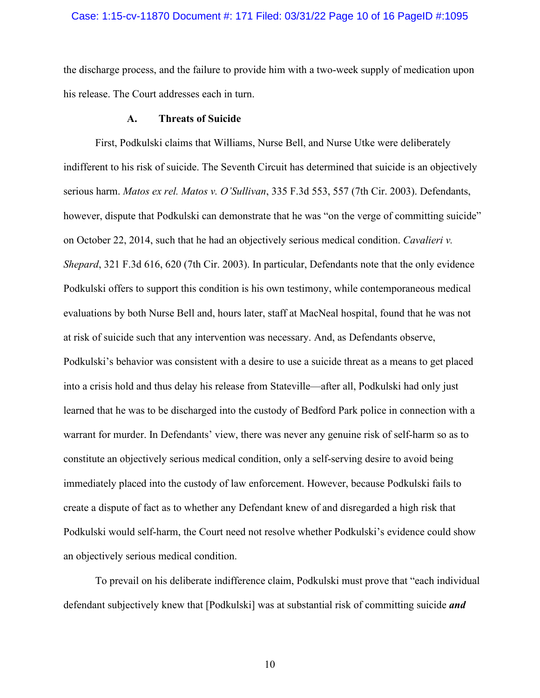### Case: 1:15-cv-11870 Document #: 171 Filed: 03/31/22 Page 10 of 16 PageID #:1095

the discharge process, and the failure to provide him with a two-week supply of medication upon his release. The Court addresses each in turn.

### **A. Threats of Suicide**

First, Podkulski claims that Williams, Nurse Bell, and Nurse Utke were deliberately indifferent to his risk of suicide. The Seventh Circuit has determined that suicide is an objectively serious harm. *Matos ex rel. Matos v. O'Sullivan*, 335 F.3d 553, 557 (7th Cir. 2003). Defendants, however, dispute that Podkulski can demonstrate that he was "on the verge of committing suicide" on October 22, 2014, such that he had an objectively serious medical condition. *Cavalieri v. Shepard*, 321 F.3d 616, 620 (7th Cir. 2003). In particular, Defendants note that the only evidence Podkulski offers to support this condition is his own testimony, while contemporaneous medical evaluations by both Nurse Bell and, hours later, staff at MacNeal hospital, found that he was not at risk of suicide such that any intervention was necessary. And, as Defendants observe, Podkulski's behavior was consistent with a desire to use a suicide threat as a means to get placed into a crisis hold and thus delay his release from Stateville—after all, Podkulski had only just learned that he was to be discharged into the custody of Bedford Park police in connection with a warrant for murder. In Defendants' view, there was never any genuine risk of self-harm so as to constitute an objectively serious medical condition, only a self-serving desire to avoid being immediately placed into the custody of law enforcement. However, because Podkulski fails to create a dispute of fact as to whether any Defendant knew of and disregarded a high risk that Podkulski would self-harm, the Court need not resolve whether Podkulski's evidence could show an objectively serious medical condition.

To prevail on his deliberate indifference claim, Podkulski must prove that "each individual defendant subjectively knew that [Podkulski] was at substantial risk of committing suicide *and*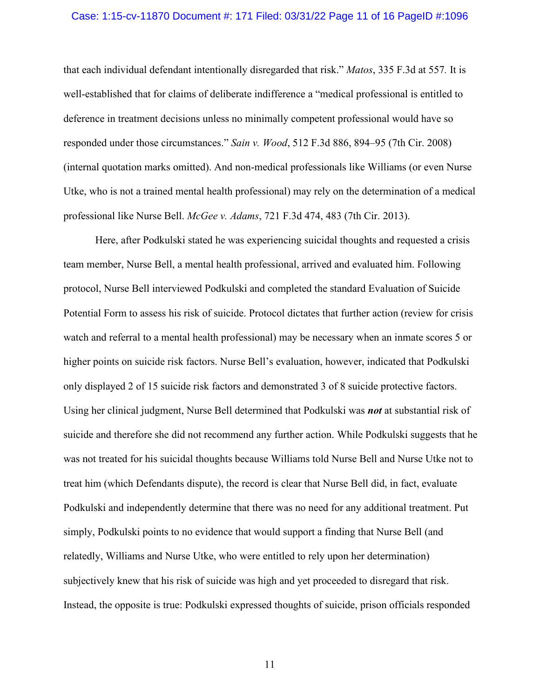#### Case: 1:15-cv-11870 Document #: 171 Filed: 03/31/22 Page 11 of 16 PageID #:1096

that each individual defendant intentionally disregarded that risk." *Matos*, 335 F.3d at 557*.* It is well-established that for claims of deliberate indifference a "medical professional is entitled to deference in treatment decisions unless no minimally competent professional would have so responded under those circumstances." *Sain v. Wood*, 512 F.3d 886, 894–95 (7th Cir. 2008) (internal quotation marks omitted). And non-medical professionals like Williams (or even Nurse Utke, who is not a trained mental health professional) may rely on the determination of a medical professional like Nurse Bell. *McGee v. Adams*, 721 F.3d 474, 483 (7th Cir. 2013).

Here, after Podkulski stated he was experiencing suicidal thoughts and requested a crisis team member, Nurse Bell, a mental health professional, arrived and evaluated him. Following protocol, Nurse Bell interviewed Podkulski and completed the standard Evaluation of Suicide Potential Form to assess his risk of suicide. Protocol dictates that further action (review for crisis watch and referral to a mental health professional) may be necessary when an inmate scores 5 or higher points on suicide risk factors. Nurse Bell's evaluation, however, indicated that Podkulski only displayed 2 of 15 suicide risk factors and demonstrated 3 of 8 suicide protective factors. Using her clinical judgment, Nurse Bell determined that Podkulski was *not* at substantial risk of suicide and therefore she did not recommend any further action. While Podkulski suggests that he was not treated for his suicidal thoughts because Williams told Nurse Bell and Nurse Utke not to treat him (which Defendants dispute), the record is clear that Nurse Bell did, in fact, evaluate Podkulski and independently determine that there was no need for any additional treatment. Put simply, Podkulski points to no evidence that would support a finding that Nurse Bell (and relatedly, Williams and Nurse Utke, who were entitled to rely upon her determination) subjectively knew that his risk of suicide was high and yet proceeded to disregard that risk. Instead, the opposite is true: Podkulski expressed thoughts of suicide, prison officials responded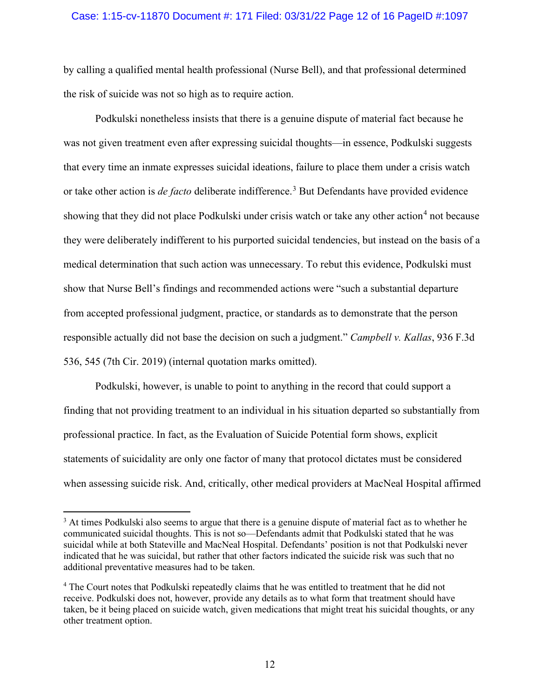### Case: 1:15-cv-11870 Document #: 171 Filed: 03/31/22 Page 12 of 16 PageID #:1097

by calling a qualified mental health professional (Nurse Bell), and that professional determined the risk of suicide was not so high as to require action.

Podkulski nonetheless insists that there is a genuine dispute of material fact because he was not given treatment even after expressing suicidal thoughts—in essence, Podkulski suggests that every time an inmate expresses suicidal ideations, failure to place them under a crisis watch or take other action is *de facto* deliberate indifference.<sup>[3](#page-11-0)</sup> But Defendants have provided evidence showing that they did not place Podkulski under crisis watch or take any other action<sup>[4](#page-11-1)</sup> not because they were deliberately indifferent to his purported suicidal tendencies, but instead on the basis of a medical determination that such action was unnecessary. To rebut this evidence, Podkulski must show that Nurse Bell's findings and recommended actions were "such a substantial departure from accepted professional judgment, practice, or standards as to demonstrate that the person responsible actually did not base the decision on such a judgment." *Campbell v. Kallas*, 936 F.3d 536, 545 (7th Cir. 2019) (internal quotation marks omitted).

Podkulski, however, is unable to point to anything in the record that could support a finding that not providing treatment to an individual in his situation departed so substantially from professional practice. In fact, as the Evaluation of Suicide Potential form shows, explicit statements of suicidality are only one factor of many that protocol dictates must be considered when assessing suicide risk. And, critically, other medical providers at MacNeal Hospital affirmed

<span id="page-11-0"></span><sup>&</sup>lt;sup>3</sup> At times Podkulski also seems to argue that there is a genuine dispute of material fact as to whether he communicated suicidal thoughts. This is not so—Defendants admit that Podkulski stated that he was suicidal while at both Stateville and MacNeal Hospital. Defendants' position is not that Podkulski never indicated that he was suicidal, but rather that other factors indicated the suicide risk was such that no additional preventative measures had to be taken.

<span id="page-11-1"></span><sup>4</sup> The Court notes that Podkulski repeatedly claims that he was entitled to treatment that he did not receive. Podkulski does not, however, provide any details as to what form that treatment should have taken, be it being placed on suicide watch, given medications that might treat his suicidal thoughts, or any other treatment option.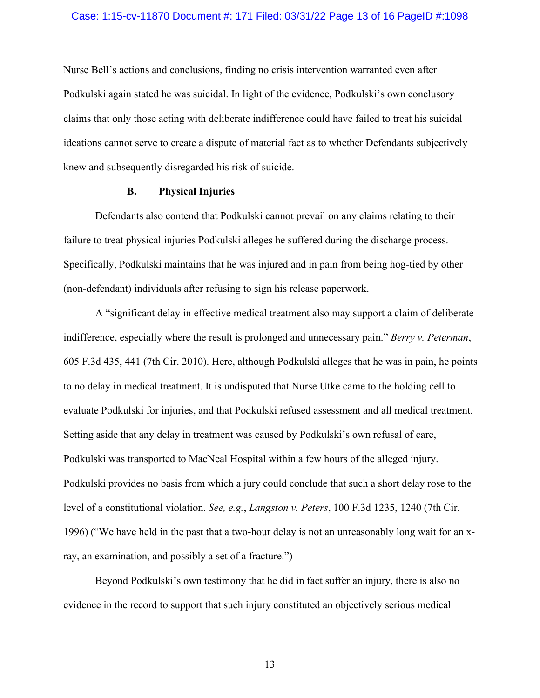#### Case: 1:15-cv-11870 Document #: 171 Filed: 03/31/22 Page 13 of 16 PageID #:1098

Nurse Bell's actions and conclusions, finding no crisis intervention warranted even after Podkulski again stated he was suicidal. In light of the evidence, Podkulski's own conclusory claims that only those acting with deliberate indifference could have failed to treat his suicidal ideations cannot serve to create a dispute of material fact as to whether Defendants subjectively knew and subsequently disregarded his risk of suicide.

## **B. Physical Injuries**

Defendants also contend that Podkulski cannot prevail on any claims relating to their failure to treat physical injuries Podkulski alleges he suffered during the discharge process. Specifically, Podkulski maintains that he was injured and in pain from being hog-tied by other (non-defendant) individuals after refusing to sign his release paperwork.

A "significant delay in effective medical treatment also may support a claim of deliberate indifference, especially where the result is prolonged and unnecessary pain." *Berry v. Peterman*, 605 F.3d 435, 441 (7th Cir. 2010). Here, although Podkulski alleges that he was in pain, he points to no delay in medical treatment. It is undisputed that Nurse Utke came to the holding cell to evaluate Podkulski for injuries, and that Podkulski refused assessment and all medical treatment. Setting aside that any delay in treatment was caused by Podkulski's own refusal of care, Podkulski was transported to MacNeal Hospital within a few hours of the alleged injury. Podkulski provides no basis from which a jury could conclude that such a short delay rose to the level of a constitutional violation. *See, e.g.*, *Langston v. Peters*, 100 F.3d 1235, 1240 (7th Cir. 1996) ("We have held in the past that a two-hour delay is not an unreasonably long wait for an xray, an examination, and possibly a set of a fracture.")

Beyond Podkulski's own testimony that he did in fact suffer an injury, there is also no evidence in the record to support that such injury constituted an objectively serious medical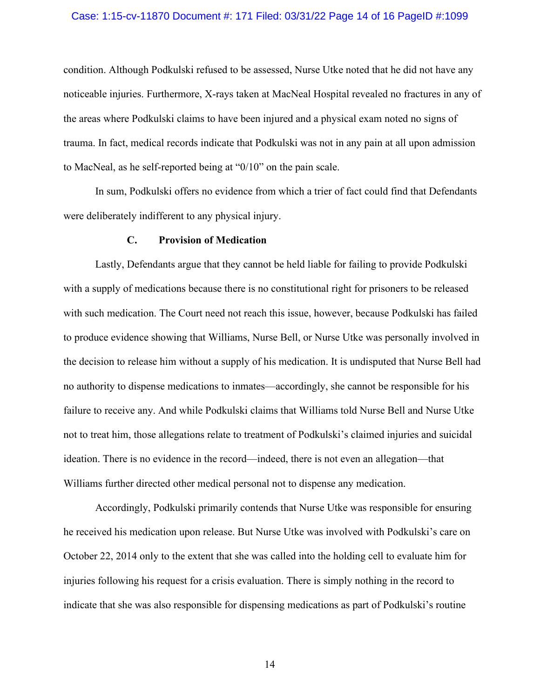#### Case: 1:15-cv-11870 Document #: 171 Filed: 03/31/22 Page 14 of 16 PageID #:1099

condition. Although Podkulski refused to be assessed, Nurse Utke noted that he did not have any noticeable injuries. Furthermore, X-rays taken at MacNeal Hospital revealed no fractures in any of the areas where Podkulski claims to have been injured and a physical exam noted no signs of trauma. In fact, medical records indicate that Podkulski was not in any pain at all upon admission to MacNeal, as he self-reported being at "0/10" on the pain scale.

In sum, Podkulski offers no evidence from which a trier of fact could find that Defendants were deliberately indifferent to any physical injury.

#### **C. Provision of Medication**

Lastly, Defendants argue that they cannot be held liable for failing to provide Podkulski with a supply of medications because there is no constitutional right for prisoners to be released with such medication. The Court need not reach this issue, however, because Podkulski has failed to produce evidence showing that Williams, Nurse Bell, or Nurse Utke was personally involved in the decision to release him without a supply of his medication. It is undisputed that Nurse Bell had no authority to dispense medications to inmates—accordingly, she cannot be responsible for his failure to receive any. And while Podkulski claims that Williams told Nurse Bell and Nurse Utke not to treat him, those allegations relate to treatment of Podkulski's claimed injuries and suicidal ideation. There is no evidence in the record—indeed, there is not even an allegation—that Williams further directed other medical personal not to dispense any medication.

Accordingly, Podkulski primarily contends that Nurse Utke was responsible for ensuring he received his medication upon release. But Nurse Utke was involved with Podkulski's care on October 22, 2014 only to the extent that she was called into the holding cell to evaluate him for injuries following his request for a crisis evaluation. There is simply nothing in the record to indicate that she was also responsible for dispensing medications as part of Podkulski's routine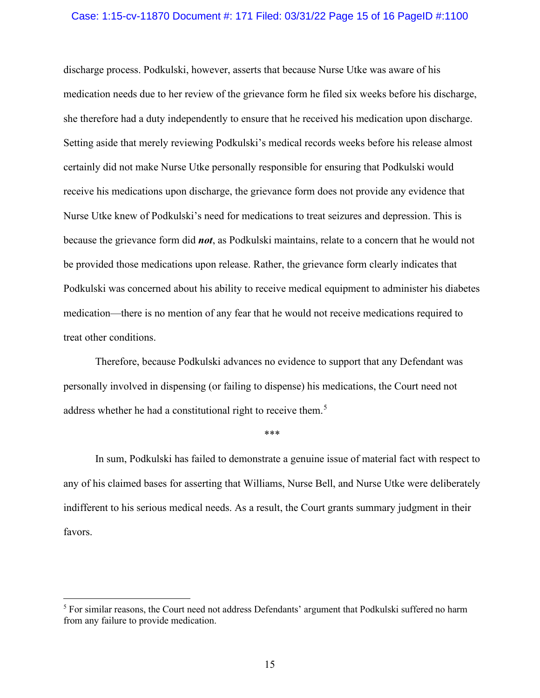#### Case: 1:15-cv-11870 Document #: 171 Filed: 03/31/22 Page 15 of 16 PageID #:1100

discharge process. Podkulski, however, asserts that because Nurse Utke was aware of his medication needs due to her review of the grievance form he filed six weeks before his discharge, she therefore had a duty independently to ensure that he received his medication upon discharge. Setting aside that merely reviewing Podkulski's medical records weeks before his release almost certainly did not make Nurse Utke personally responsible for ensuring that Podkulski would receive his medications upon discharge, the grievance form does not provide any evidence that Nurse Utke knew of Podkulski's need for medications to treat seizures and depression. This is because the grievance form did *not*, as Podkulski maintains, relate to a concern that he would not be provided those medications upon release. Rather, the grievance form clearly indicates that Podkulski was concerned about his ability to receive medical equipment to administer his diabetes medication—there is no mention of any fear that he would not receive medications required to treat other conditions.

Therefore, because Podkulski advances no evidence to support that any Defendant was personally involved in dispensing (or failing to dispense) his medications, the Court need not address whether he had a constitutional right to receive them.<sup>[5](#page-14-0)</sup>

#### \*\*\*

In sum, Podkulski has failed to demonstrate a genuine issue of material fact with respect to any of his claimed bases for asserting that Williams, Nurse Bell, and Nurse Utke were deliberately indifferent to his serious medical needs. As a result, the Court grants summary judgment in their favors.

<span id="page-14-0"></span><sup>&</sup>lt;sup>5</sup> For similar reasons, the Court need not address Defendants' argument that Podkulski suffered no harm from any failure to provide medication.